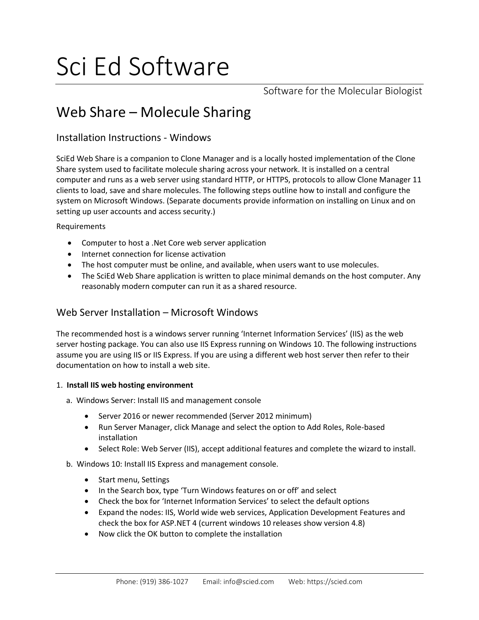# Sci Ed Software

Software for the Molecular Biologist

# Web Share – Molecule Sharing

# Installation Instructions - Windows

SciEd Web Share is a companion to Clone Manager and is a locally hosted implementation of the Clone Share system used to facilitate molecule sharing across your network. It is installed on a central computer and runs as a web server using standard HTTP, or HTTPS, protocols to allow Clone Manager 11 clients to load, save and share molecules. The following steps outline how to install and configure the system on Microsoft Windows. (Separate documents provide information on installing on Linux and on setting up user accounts and access security.)

#### Requirements

- Computer to host a .Net Core web server application
- Internet connection for license activation
- The host computer must be online, and available, when users want to use molecules.
- The SciEd Web Share application is written to place minimal demands on the host computer. Any reasonably modern computer can run it as a shared resource.

# Web Server Installation – Microsoft Windows

The recommended host is a windows server running 'Internet Information Services' (IIS) as the web server hosting package. You can also use IIS Express running on Windows 10. The following instructions assume you are using IIS or IIS Express. If you are using a different web host server then refer to their documentation on how to install a web site.

#### 1. **Install IIS web hosting environment**

- a. Windows Server: Install IIS and management console
	- Server 2016 or newer recommended (Server 2012 minimum)
	- Run Server Manager, click Manage and select the option to Add Roles, Role-based installation
	- Select Role: Web Server (IIS), accept additional features and complete the wizard to install.

b. Windows 10: Install IIS Express and management console.

- Start menu, Settings
- In the Search box, type 'Turn Windows features on or off' and select
- Check the box for 'Internet Information Services' to select the default options
- Expand the nodes: IIS, World wide web services, Application Development Features and check the box for ASP.NET 4 (current windows 10 releases show version 4.8)
- Now click the OK button to complete the installation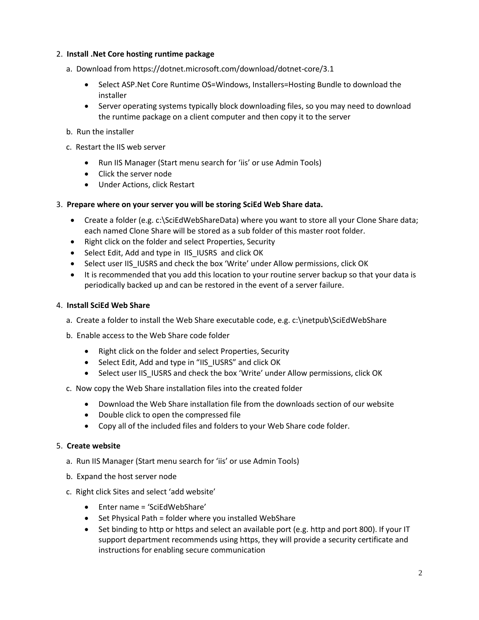#### 2. **Install .Net Core hosting runtime package**

- a. Download from https://dotnet.microsoft.com/download/dotnet-core/3.1
	- Select ASP.Net Core Runtime OS=Windows, Installers=Hosting Bundle to download the installer
	- Server operating systems typically block downloading files, so you may need to download the runtime package on a client computer and then copy it to the server
- b. Run the installer
- c. Restart the IIS web server
	- Run IIS Manager (Start menu search for 'iis' or use Admin Tools)
	- Click the server node
	- Under Actions, click Restart

#### 3. **Prepare where on your server you will be storing SciEd Web Share data.**

- Create a folder (e.g. c:\SciEdWebShareData) where you want to store all your Clone Share data; each named Clone Share will be stored as a sub folder of this master root folder.
- Right click on the folder and select Properties, Security
- Select Edit, Add and type in IIS IUSRS and click OK
- Select user IIS IUSRS and check the box 'Write' under Allow permissions, click OK
- It is recommended that you add this location to your routine server backup so that your data is periodically backed up and can be restored in the event of a server failure.

#### 4. **Install SciEd Web Share**

- a. Create a folder to install the Web Share executable code, e.g. c:\inetpub\SciEdWebShare
- b. Enable access to the Web Share code folder
	- Right click on the folder and select Properties, Security
	- Select Edit, Add and type in "IIS\_IUSRS" and click OK
	- Select user IIS IUSRS and check the box 'Write' under Allow permissions, click OK
- c. Now copy the Web Share installation files into the created folder
	- Download the Web Share installation file from the downloads section of our website
	- Double click to open the compressed file
	- Copy all of the included files and folders to your Web Share code folder.

#### 5. **Create website**

- a. Run IIS Manager (Start menu search for 'iis' or use Admin Tools)
- b. Expand the host server node
- c. Right click Sites and select 'add website'
	- Enter name = 'SciEdWebShare'
	- Set Physical Path = folder where you installed WebShare
	- Set binding to http or https and select an available port (e.g. http and port 800). If your IT support department recommends using https, they will provide a security certificate and instructions for enabling secure communication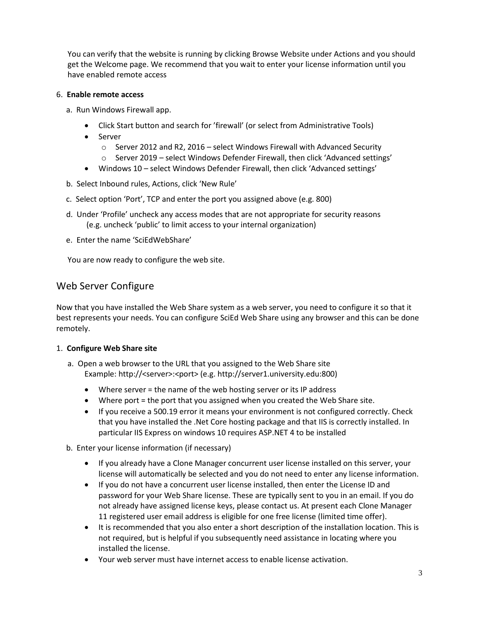You can verify that the website is running by clicking Browse Website under Actions and you should get the Welcome page. We recommend that you wait to enter your license information until you have enabled remote access

#### 6. **Enable remote access**

- a. Run Windows Firewall app.
	- Click Start button and search for 'firewall' (or select from Administrative Tools)
	- Server
		- o Server 2012 and R2, 2016 select Windows Firewall with Advanced Security
		- o Server 2019 select Windows Defender Firewall, then click 'Advanced settings'
	- Windows 10 select Windows Defender Firewall, then click 'Advanced settings'
- b. Select Inbound rules, Actions, click 'New Rule'
- c. Select option 'Port', TCP and enter the port you assigned above (e.g. 800)
- d. Under 'Profile' uncheck any access modes that are not appropriate for security reasons (e.g. uncheck 'public' to limit access to your internal organization)
- e. Enter the name 'SciEdWebShare'

You are now ready to configure the web site.

# Web Server Configure

Now that you have installed the Web Share system as a web server, you need to configure it so that it best represents your needs. You can configure SciEd Web Share using any browser and this can be done remotely.

#### 1. **Configure Web Share site**

- a. Open a web browser to the URL that you assigned to the Web Share site Example: http://<server>:<port> (e.g. http://server1.university.edu:800)
	- Where server = the name of the web hosting server or its IP address
	- Where port = the port that you assigned when you created the Web Share site.
	- If you receive a 500.19 error it means your environment is not configured correctly. Check that you have installed the .Net Core hosting package and that IIS is correctly installed. In particular IIS Express on windows 10 requires ASP.NET 4 to be installed
- b. Enter your license information (if necessary)
	- If you already have a Clone Manager concurrent user license installed on this server, your license will automatically be selected and you do not need to enter any license information.
	- If you do not have a concurrent user license installed, then enter the License ID and password for your Web Share license. These are typically sent to you in an email. If you do not already have assigned license keys, please contact us. At present each Clone Manager 11 registered user email address is eligible for one free license (limited time offer).
	- It is recommended that you also enter a short description of the installation location. This is not required, but is helpful if you subsequently need assistance in locating where you installed the license.
	- Your web server must have internet access to enable license activation.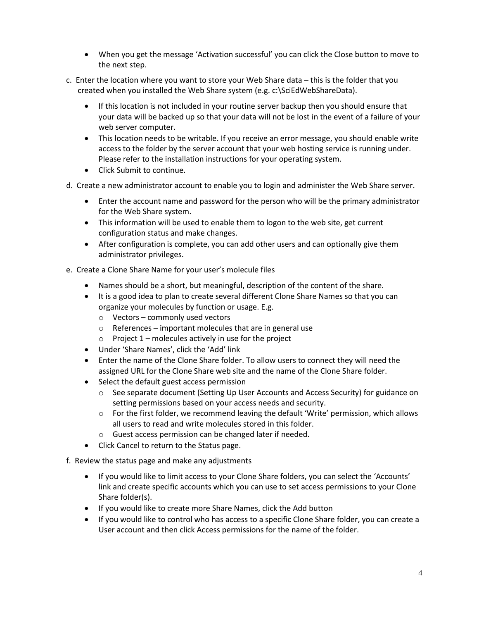- When you get the message 'Activation successful' you can click the Close button to move to the next step.
- c. Enter the location where you want to store your Web Share data this is the folder that you created when you installed the Web Share system (e.g. c:\SciEdWebShareData).
	- If this location is not included in your routine server backup then you should ensure that your data will be backed up so that your data will not be lost in the event of a failure of your web server computer.
	- This location needs to be writable. If you receive an error message, you should enable write access to the folder by the server account that your web hosting service is running under. Please refer to the installation instructions for your operating system.
	- Click Submit to continue.

d. Create a new administrator account to enable you to login and administer the Web Share server.

- Enter the account name and password for the person who will be the primary administrator for the Web Share system.
- This information will be used to enable them to logon to the web site, get current configuration status and make changes.
- After configuration is complete, you can add other users and can optionally give them administrator privileges.
- e. Create a Clone Share Name for your user's molecule files
	- Names should be a short, but meaningful, description of the content of the share.
	- It is a good idea to plan to create several different Clone Share Names so that you can organize your molecules by function or usage. E.g.
		- o Vectors commonly used vectors
		- $\circ$  References important molecules that are in general use
		- $\circ$  Project 1 molecules actively in use for the project
	- Under 'Share Names', click the 'Add' link
	- Enter the name of the Clone Share folder. To allow users to connect they will need the assigned URL for the Clone Share web site and the name of the Clone Share folder.
	- Select the default guest access permission
		- o See separate document (Setting Up User Accounts and Access Security) for guidance on setting permissions based on your access needs and security.
		- $\circ$  For the first folder, we recommend leaving the default 'Write' permission, which allows all users to read and write molecules stored in this folder.
		- o Guest access permission can be changed later if needed.
	- Click Cancel to return to the Status page.
- f. Review the status page and make any adjustments
	- If you would like to limit access to your Clone Share folders, you can select the 'Accounts' link and create specific accounts which you can use to set access permissions to your Clone Share folder(s).
	- If you would like to create more Share Names, click the Add button
	- If you would like to control who has access to a specific Clone Share folder, you can create a User account and then click Access permissions for the name of the folder.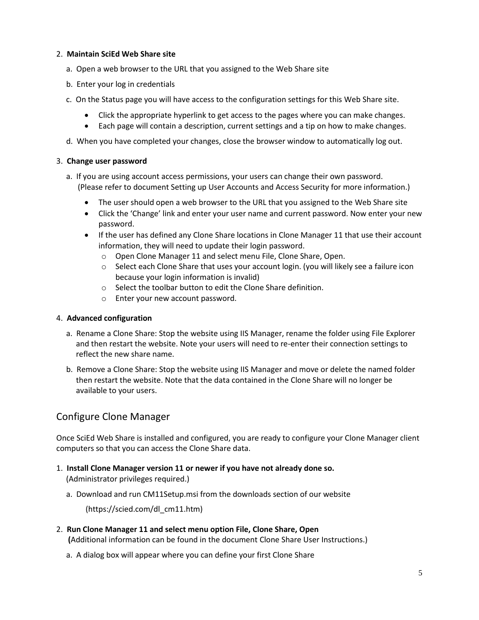#### 2. **Maintain SciEd Web Share site**

- a. Open a web browser to the URL that you assigned to the Web Share site
- b. Enter your log in credentials
- c. On the Status page you will have access to the configuration settings for this Web Share site.
	- Click the appropriate hyperlink to get access to the pages where you can make changes.
	- Each page will contain a description, current settings and a tip on how to make changes.
- d. When you have completed your changes, close the browser window to automatically log out.

#### 3. **Change user password**

- a. If you are using account access permissions, your users can change their own password. (Please refer to document Setting up User Accounts and Access Security for more information.)
	- The user should open a web browser to the URL that you assigned to the Web Share site
	- Click the 'Change' link and enter your user name and current password. Now enter your new password.
	- If the user has defined any Clone Share locations in Clone Manager 11 that use their account information, they will need to update their login password.
		- o Open Clone Manager 11 and select menu File, Clone Share, Open.
		- o Select each Clone Share that uses your account login. (you will likely see a failure icon because your login information is invalid)
		- o Select the toolbar button to edit the Clone Share definition.
		- o Enter your new account password.

#### 4. **Advanced configuration**

- a. Rename a Clone Share: Stop the website using IIS Manager, rename the folder using File Explorer and then restart the website. Note your users will need to re-enter their connection settings to reflect the new share name.
- b. Remove a Clone Share: Stop the website using IIS Manager and move or delete the named folder then restart the website. Note that the data contained in the Clone Share will no longer be available to your users.

# Configure Clone Manager

Once SciEd Web Share is installed and configured, you are ready to configure your Clone Manager client computers so that you can access the Clone Share data.

- 1. **Install Clone Manager version 11 or newer if you have not already done so.** (Administrator privileges required.)
	- a. Download and run CM11Setup.msi from the downloads section of our website

(https://scied.com/dl\_cm11.htm)

- 2. **Run Clone Manager 11 and select menu option File, Clone Share, Open (**Additional information can be found in the document Clone Share User Instructions.)
	- a. A dialog box will appear where you can define your first Clone Share